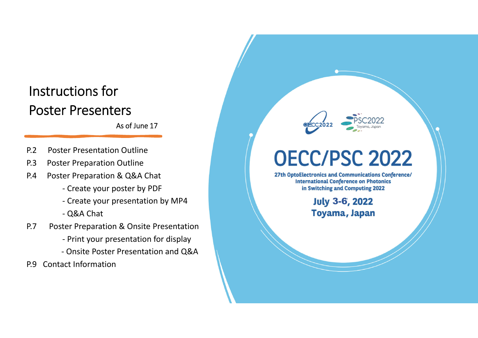# Instructions forPoster Presenters

As of June 17

- P.2 Poster Presentation Outline
- P.3Poster Preparation Outline
- P.4 Poster Preparation & Q&A Chat
	- ‐ Create your poster by PDF
	- ‐ Create your presentation by MP4
	- ‐ Q&A Chat
- P.7 Poster Preparation & Onsite Presentation
	- ‐ Print your presentation for display
	- ‐ Onsite Poster Presentation and Q&A
- P.9 Contact Information



# **OECC/PSC 2022**

27th OptoElectronics and Communications Conference/ **International Conference on Photonics** in Switching and Computing 2022

> **July 3-6, 2022** Toyama, Japan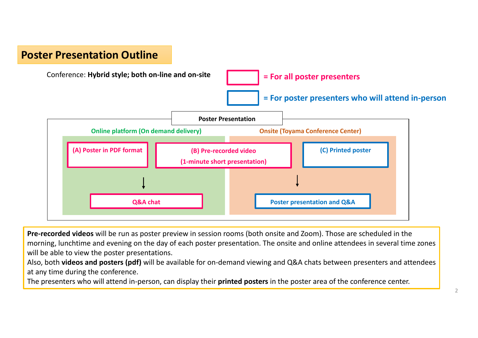# **Poster Presentation Outline**



**Pre‐recorded videos** will be run as poster preview in session rooms (both onsite and Zoom). Those are scheduled in the morning, lunchtime and evening on the day of each poster presentation. The onsite and online attendees in several time zones will be able to view the poster presentations.

Also, both **videos and posters (pdf)** will be available for on‐demand viewing and Q&A chats between presenters and attendees at any time during the conference.

The presenters who will attend in‐person, can display their **printed posters** in the poster area of the conference center.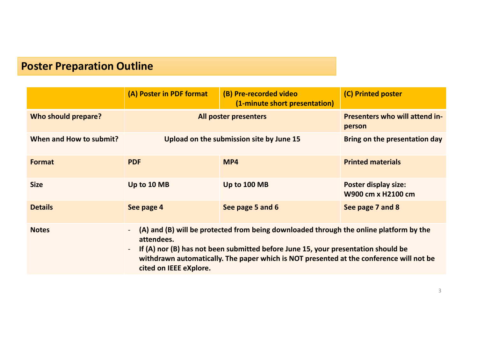# **Poster Preparation Outline**

|                         | (A) Poster in PDF format                                                                                                                                                                                                                                                                                                 | (B) Pre-recorded video<br>(1-minute short presentation) | (C) Printed poster                                |
|-------------------------|--------------------------------------------------------------------------------------------------------------------------------------------------------------------------------------------------------------------------------------------------------------------------------------------------------------------------|---------------------------------------------------------|---------------------------------------------------|
| Who should prepare?     | All poster presenters                                                                                                                                                                                                                                                                                                    |                                                         | <b>Presenters who will attend in-</b><br>person   |
| When and How to submit? | Upload on the submission site by June 15                                                                                                                                                                                                                                                                                 |                                                         | Bring on the presentation day                     |
| <b>Format</b>           | <b>PDF</b>                                                                                                                                                                                                                                                                                                               | MP4                                                     | <b>Printed materials</b>                          |
| <b>Size</b>             | Up to 10 MB                                                                                                                                                                                                                                                                                                              | Up to 100 MB                                            | <b>Poster display size:</b><br>W900 cm x H2100 cm |
| <b>Details</b>          | See page 4                                                                                                                                                                                                                                                                                                               | See page 5 and 6                                        | See page 7 and 8                                  |
| <b>Notes</b>            | (A) and (B) will be protected from being downloaded through the online platform by the<br>attendees.<br>If (A) nor (B) has not been submitted before June 15, your presentation should be<br>$\sim$<br>withdrawn automatically. The paper which is NOT presented at the conference will not be<br>cited on IEEE eXplore. |                                                         |                                                   |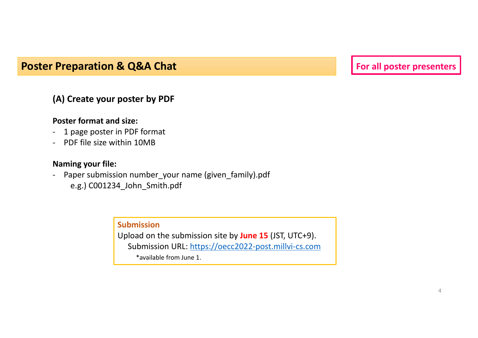# **Poster Preparation & Q&A Chat For all poster presenters**

### **(A) Create your poster by PDF**

#### **Poster format and size:**

- 1 page poster in PDF format
- ‐ PDF file size within 10MB

#### **Naming your file:**

‐ Paper submission number\_your name (given\_family).pdf e.g.) C001234\_John\_Smith.pdf

#### **Submission**

Upload on the submission site by **June 15** (JST, UTC+9). Submission URL: <u>https://oecc2022-post.millvi-cs.com</u> \*available from June 1.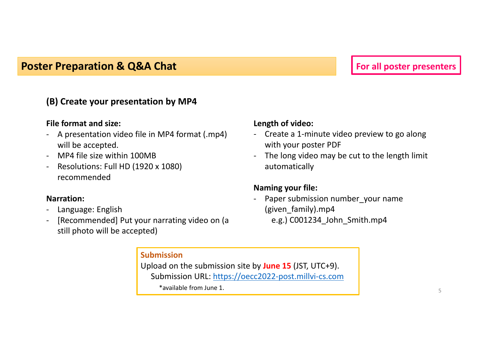# **Poster Preparation & Q&A Chat For all poster presenters**

### **(B) Create your presentation by MP4**

#### **File format and size:**

- ‐ A presentation video file in MP4 format (.mp4) will be accepted.
- ‐ MP4 file size within 100MB
- ‐ Resolutions: Full HD (1920 <sup>x</sup> 1080) recommended

#### **Narration:**

- ‐Language: English
- ‐ [Recommended] Put your narrating video on (a still photo will be accepted)

#### **Length of video:**

- ‐ Create <sup>a</sup> 1‐minute video preview to go along with your poster PDF
- ‐ The long video may be cut to the length limit automatically

#### **Naming your file:**

‐Paper submission number your name (given\_family).mp4 e.g.) C001234 John Smith.mp4

**Submission**Upload on the submission site by **June 15** (JST, UTC+9). Submission URL: <u>https://oecc2022-post.millvi-cs.com</u> \*available from June 1.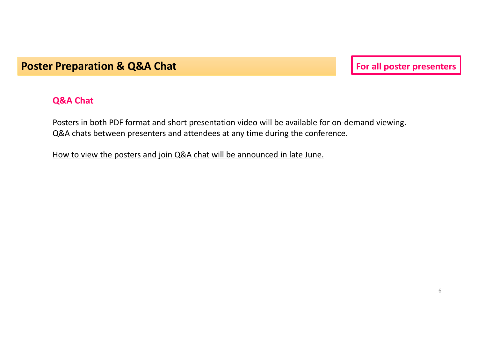# **Poster Preparation & Q&A Chat For all poster presenters**

#### **Q&A Chat**

Posters in both PDF format and short presentation video will be available for on‐demand viewing. Q&A chats between presenters and attendees at any time during the conference.

How to view the posters and join Q&A chat will be announced in late June.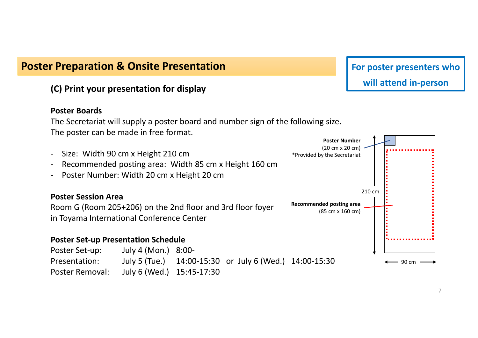# **Poster Preparation & Onsite Presentation**

#### **(C) Print your presentation for display**

#### **Poster Boards**

The Secretariat will supply <sup>a</sup> poster board and number sign of the following size. The poster can be made in free format.



# **For poster presenters who will attend in‐person**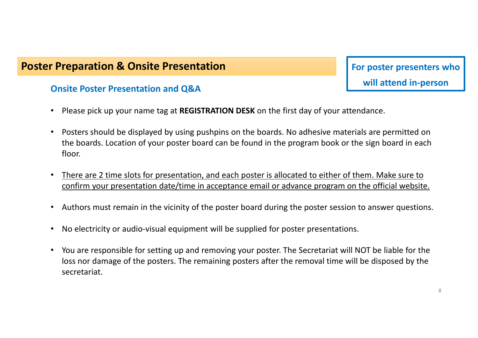# **Poster Preparation & Onsite Presentation**

#### **Onsite Poster Presentation and Q&A**

- **For poster presenters who will attend in‐person**
- •Please pick up your name tag at **REGISTRATION DESK** on the first day of your attendance.
- • Posters should be displayed by using pushpins on the boards. No adhesive materials are permitted on the boards. Location of your poster board can be found in the program book or the sign board in each floor.
- •• There are 2 time slots for presentation, and each poster is allocated to either of them. Make sure to confirm your presentation date/time in acceptance email or advance program on the official website.
- •Authors must remain in the vicinity of the poster board during the poster session to answer questions.
- $\bullet$ • No electricity or audio-visual equipment will be supplied for poster presentations.
- $\bullet$  You are responsible for setting up and removing your poster. The Secretariat will NOT be liable for the loss nor damage of the posters. The remaining posters after the removal time will be disposed by the secretariat.